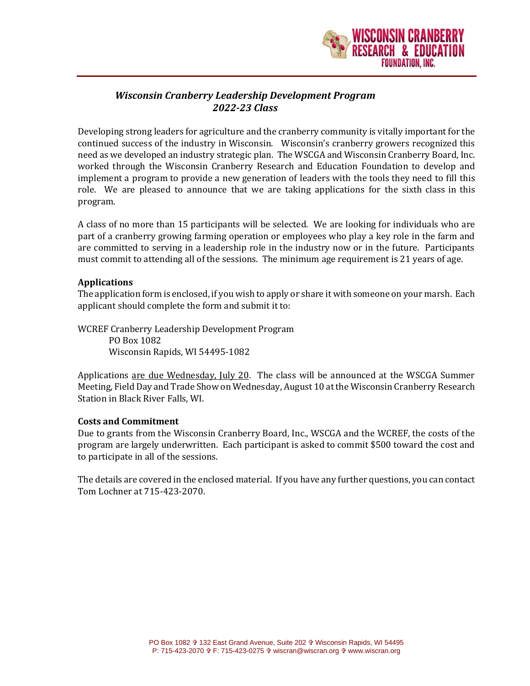

# *Wisconsin Cranberry Leadership Development Program 2022-23 Class*

Developing strong leaders for agriculture and the cranberry community is vitally important for the continued success of the industry in Wisconsin. Wisconsin's cranberry growers recognized this need as we developed an industry strategic plan. The WSCGA and Wisconsin Cranberry Board, Inc. worked through the Wisconsin Cranberry Research and Education Foundation to develop and implement a program to provide a new generation of leaders with the tools they need to fill this role. We are pleased to announce that we are taking applications for the sixth class in this program.

A class of no more than 15 participants will be selected. We are looking for individuals who are part of a cranberry growing farming operation or employees who play a key role in the farm and are committed to serving in a leadership role in the industry now or in the future. Participants must commit to attending all of the sessions. The minimum age requirement is 21 years of age.

## **Applications**

The application form is enclosed, if you wish to apply or share it with someone on your marsh. Each applicant should complete the form and submit it to:

WCREF Cranberry Leadership Development Program PO Box 1082 Wisconsin Rapids, WI 54495-1082

Applications are due Wednesday, July 20. The class will be announced at the WSCGA Summer Meeting, Field Day and Trade Show on Wednesday, August 10 at the Wisconsin Cranberry Research Station in Black River Falls, WI.

# **Costs and Commitment**

Due to grants from the Wisconsin Cranberry Board, Inc., WSCGA and the WCREF, the costs of the program are largely underwritten. Each participant is asked to commit \$500 toward the cost and to participate in all of the sessions.

The details are covered in the enclosed material. If you have any further questions, you can contact Tom Lochner at 715-423-2070.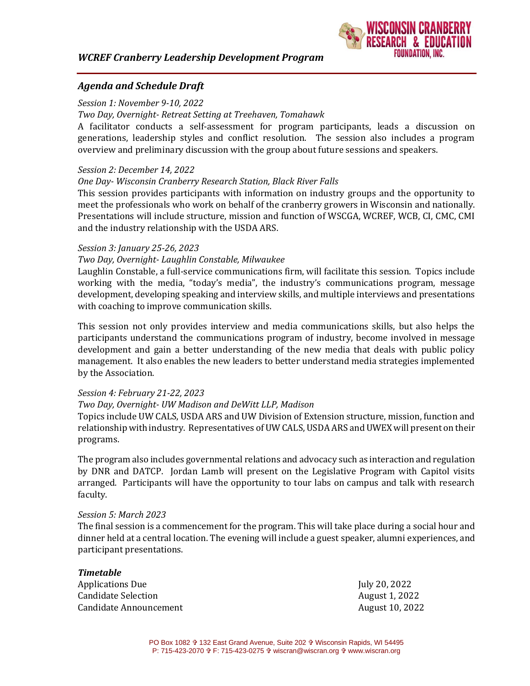# *WCREF Cranberry Leadership Development Program*



## *Agenda and Schedule Draft*

### *Session 1: November 9-10, 2022*

#### *Two Day, Overnight- Retreat Setting at Treehaven, Tomahawk*

A facilitator conducts a self-assessment for program participants, leads a discussion on generations, leadership styles and conflict resolution. The session also includes a program overview and preliminary discussion with the group about future sessions and speakers.

## *Session 2: December 14, 2022*

#### *One Day- Wisconsin Cranberry Research Station, Black River Falls*

This session provides participants with information on industry groups and the opportunity to meet the professionals who work on behalf of the cranberry growers in Wisconsin and nationally. Presentations will include structure, mission and function of WSCGA, WCREF, WCB, CI, CMC, CMI and the industry relationship with the USDA ARS.

#### *Session 3: January 25-26, 2023*

#### *Two Day, Overnight- Laughlin Constable, Milwaukee*

Laughlin Constable, a full-service communications firm, will facilitate this session. Topics include working with the media, "today's media", the industry's communications program, message development, developing speaking and interview skills, and multiple interviews and presentations with coaching to improve communication skills.

This session not only provides interview and media communications skills, but also helps the participants understand the communications program of industry, become involved in message development and gain a better understanding of the new media that deals with public policy management. It also enables the new leaders to better understand media strategies implemented by the Association.

#### *Session 4: February 21-22, 2023*

## *Two Day, Overnight- UW Madison and DeWitt LLP, Madison*

Topics include UW CALS, USDA ARS and UW Division of Extension structure, mission, function and relationship with industry. Representatives of UW CALS, USDA ARS and UWEX will present on their programs.

The program also includes governmental relations and advocacy such as interaction and regulation by DNR and DATCP. Jordan Lamb will present on the Legislative Program with Capitol visits arranged. Participants will have the opportunity to tour labs on campus and talk with research faculty.

#### *Session 5: March 2023*

The final session is a commencement for the program. This will take place during a social hour and dinner held at a central location. The evening will include a guest speaker, alumni experiences, and participant presentations.

| <b>Timetable</b>       |                 |
|------------------------|-----------------|
| Applications Due       | July 20, 2022   |
| Candidate Selection    | August 1, 2022  |
| Candidate Announcement | August 10, 2022 |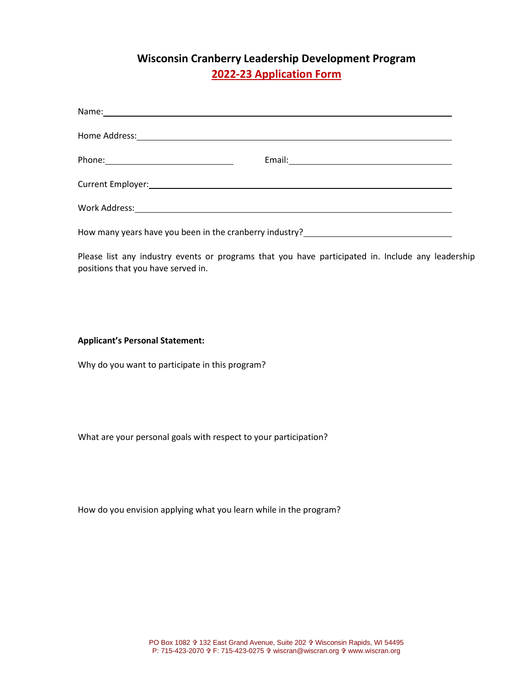# **Wisconsin Cranberry Leadership Development Program 2022-23 Application Form**

| Current Employer: Annual Communication of the Communication of the Communication of the Communication of the C |
|----------------------------------------------------------------------------------------------------------------|
|                                                                                                                |
| How many years have you been in the cranberry industry?_________________________                               |

Please list any industry events or programs that you have participated in. Include any leadership positions that you have served in.

**Applicant's Personal Statement:**

Why do you want to participate in this program?

What are your personal goals with respect to your participation?

How do you envision applying what you learn while in the program?